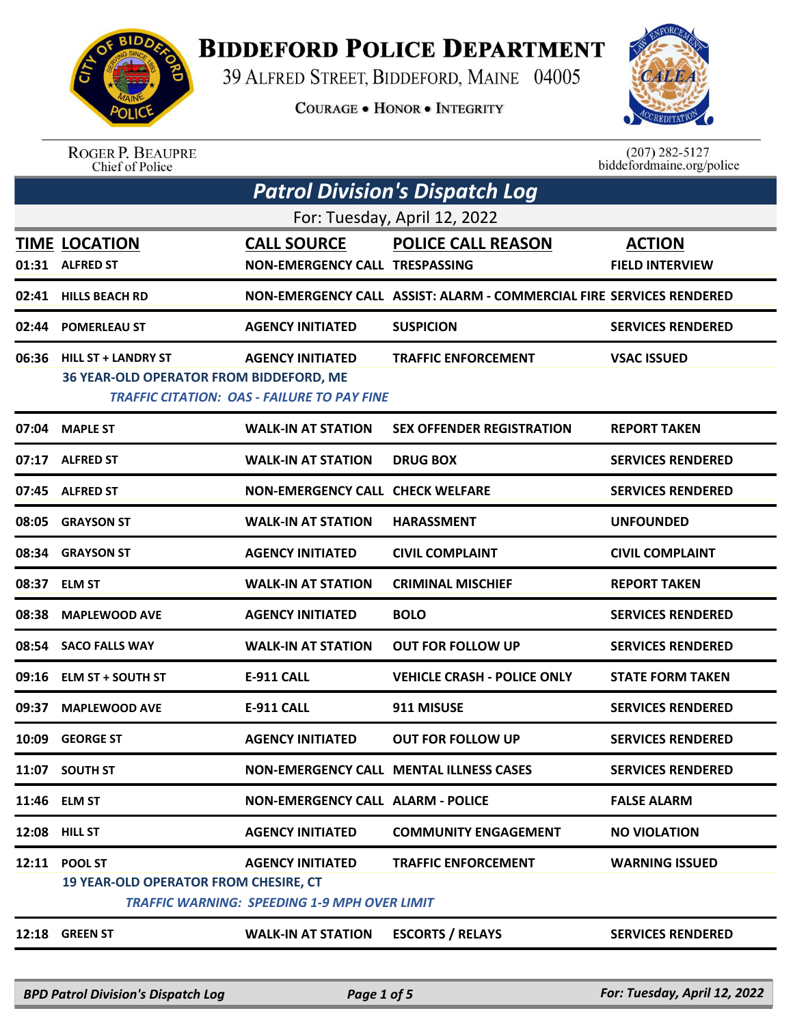

## **BIDDEFORD POLICE DEPARTMENT**

39 ALFRED STREET, BIDDEFORD, MAINE 04005

**COURAGE . HONOR . INTEGRITY** 



ROGER P. BEAUPRE<br>Chief of Police

 $(207)$  282-5127 biddefordmaine.org/police

| <b>Patrol Division's Dispatch Log</b> |                                                                       |                                                                                |                                                                      |                                         |  |  |
|---------------------------------------|-----------------------------------------------------------------------|--------------------------------------------------------------------------------|----------------------------------------------------------------------|-----------------------------------------|--|--|
|                                       | For: Tuesday, April 12, 2022                                          |                                                                                |                                                                      |                                         |  |  |
|                                       | <b>TIME LOCATION</b><br>01:31 ALFRED ST                               | <b>CALL SOURCE</b><br><b>NON-EMERGENCY CALL TRESPASSING</b>                    | <b>POLICE CALL REASON</b>                                            | <b>ACTION</b><br><b>FIELD INTERVIEW</b> |  |  |
| 02:41                                 | <b>HILLS BEACH RD</b>                                                 |                                                                                | NON-EMERGENCY CALL ASSIST: ALARM - COMMERCIAL FIRE SERVICES RENDERED |                                         |  |  |
|                                       | 02:44 POMERLEAU ST                                                    | <b>AGENCY INITIATED</b>                                                        | <b>SUSPICION</b>                                                     | <b>SERVICES RENDERED</b>                |  |  |
| 06:36                                 | <b>HILL ST + LANDRY ST</b><br>36 YEAR-OLD OPERATOR FROM BIDDEFORD, ME | <b>AGENCY INITIATED</b><br>TRAFFIC CITATION: OAS - FAILURE TO PAY FINE         | <b>TRAFFIC ENFORCEMENT</b>                                           | <b>VSAC ISSUED</b>                      |  |  |
| 07:04                                 | <b>MAPLE ST</b>                                                       | <b>WALK-IN AT STATION</b>                                                      | <b>SEX OFFENDER REGISTRATION</b>                                     | <b>REPORT TAKEN</b>                     |  |  |
| 07:17                                 | <b>ALFRED ST</b>                                                      | <b>WALK-IN AT STATION</b>                                                      | <b>DRUG BOX</b>                                                      | <b>SERVICES RENDERED</b>                |  |  |
| 07:45                                 | <b>ALFRED ST</b>                                                      | <b>NON-EMERGENCY CALL CHECK WELFARE</b>                                        |                                                                      | <b>SERVICES RENDERED</b>                |  |  |
| 08:05                                 | <b>GRAYSON ST</b>                                                     | <b>WALK-IN AT STATION</b>                                                      | <b>HARASSMENT</b>                                                    | <b>UNFOUNDED</b>                        |  |  |
| 08:34                                 | <b>GRAYSON ST</b>                                                     | <b>AGENCY INITIATED</b>                                                        | <b>CIVIL COMPLAINT</b>                                               | <b>CIVIL COMPLAINT</b>                  |  |  |
| 08:37                                 | <b>ELM ST</b>                                                         | <b>WALK-IN AT STATION</b>                                                      | <b>CRIMINAL MISCHIEF</b>                                             | <b>REPORT TAKEN</b>                     |  |  |
| 08:38                                 | <b>MAPLEWOOD AVE</b>                                                  | <b>AGENCY INITIATED</b>                                                        | <b>BOLO</b>                                                          | <b>SERVICES RENDERED</b>                |  |  |
| 08:54                                 | <b>SACO FALLS WAY</b>                                                 | <b>WALK-IN AT STATION</b>                                                      | <b>OUT FOR FOLLOW UP</b>                                             | <b>SERVICES RENDERED</b>                |  |  |
| 09:16                                 | <b>ELM ST + SOUTH ST</b>                                              | <b>E-911 CALL</b>                                                              | <b>VEHICLE CRASH - POLICE ONLY</b>                                   | <b>STATE FORM TAKEN</b>                 |  |  |
| 09:37                                 | <b>MAPLEWOOD AVE</b>                                                  | <b>E-911 CALL</b>                                                              | 911 MISUSE                                                           | <b>SERVICES RENDERED</b>                |  |  |
| 10:09                                 | <b>GEORGE ST</b>                                                      | <b>AGENCY INITIATED</b>                                                        | <b>OUT FOR FOLLOW UP</b>                                             | <b>SERVICES RENDERED</b>                |  |  |
|                                       | 11:07 SOUTH ST                                                        |                                                                                | <b>NON-EMERGENCY CALL MENTAL ILLNESS CASES</b>                       | <b>SERVICES RENDERED</b>                |  |  |
|                                       | 11:46 ELM ST                                                          | <b>NON-EMERGENCY CALL ALARM - POLICE</b>                                       |                                                                      | <b>FALSE ALARM</b>                      |  |  |
|                                       | <b>12:08 HILL ST</b>                                                  | <b>AGENCY INITIATED</b>                                                        | <b>COMMUNITY ENGAGEMENT</b>                                          | <b>NO VIOLATION</b>                     |  |  |
| 12:11                                 | <b>POOL ST</b><br><b>19 YEAR-OLD OPERATOR FROM CHESIRE, CT</b>        | <b>AGENCY INITIATED</b><br><b>TRAFFIC WARNING: SPEEDING 1-9 MPH OVER LIMIT</b> | <b>TRAFFIC ENFORCEMENT</b>                                           | <b>WARNING ISSUED</b>                   |  |  |
| 12:18                                 | <b>GREEN ST</b>                                                       | <b>WALK-IN AT STATION</b>                                                      | <b>ESCORTS / RELAYS</b>                                              | <b>SERVICES RENDERED</b>                |  |  |
|                                       |                                                                       |                                                                                |                                                                      |                                         |  |  |

*BPD Patrol Division's Dispatch Log Page 1 of 5 For: Tuesday, April 12, 2022*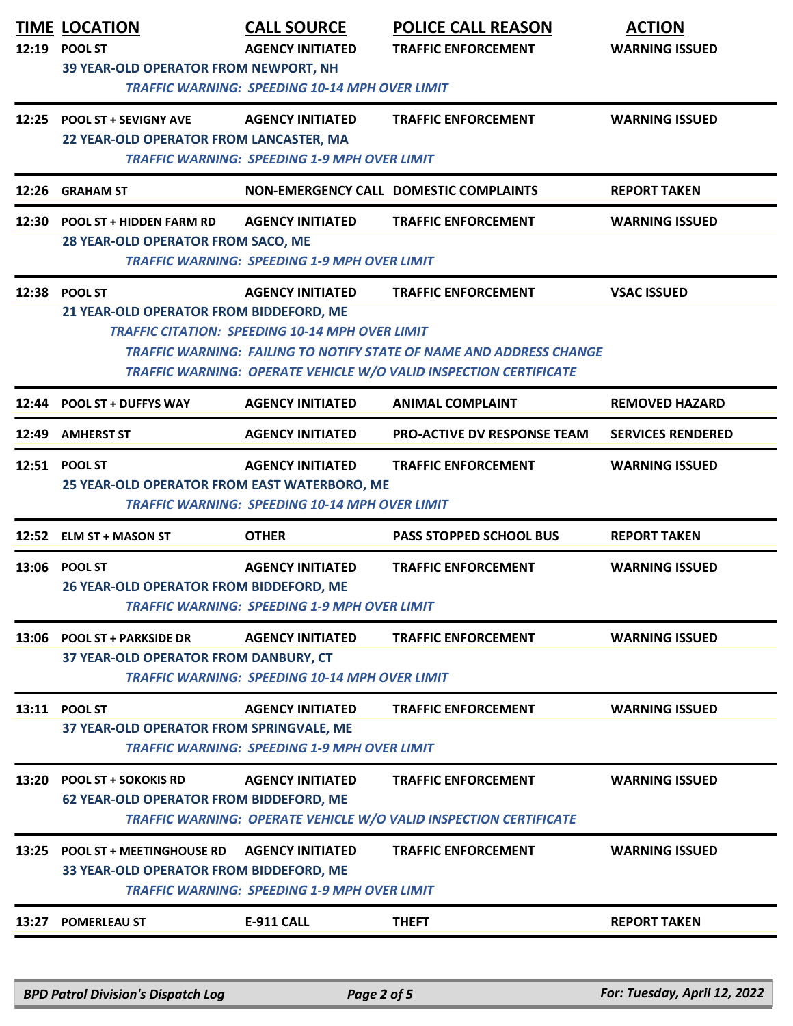| 12:19 | <b>TIME LOCATION</b><br><b>POOL ST</b><br>39 YEAR-OLD OPERATOR FROM NEWPORT, NH | <b>CALL SOURCE</b><br><b>AGENCY INITIATED</b><br><b>TRAFFIC WARNING: SPEEDING 10-14 MPH OVER LIMIT</b> | <b>POLICE CALL REASON</b><br><b>TRAFFIC ENFORCEMENT</b>                                                                                                                       | <b>ACTION</b><br><b>WARNING ISSUED</b> |
|-------|---------------------------------------------------------------------------------|--------------------------------------------------------------------------------------------------------|-------------------------------------------------------------------------------------------------------------------------------------------------------------------------------|----------------------------------------|
|       | 12:25 POOL ST + SEVIGNY AVE<br>22 YEAR-OLD OPERATOR FROM LANCASTER, MA          | <b>AGENCY INITIATED</b><br><b>TRAFFIC WARNING: SPEEDING 1-9 MPH OVER LIMIT</b>                         | <b>TRAFFIC ENFORCEMENT</b>                                                                                                                                                    | <b>WARNING ISSUED</b>                  |
|       | 12:26 GRAHAM ST                                                                 |                                                                                                        | NON-EMERGENCY CALL DOMESTIC COMPLAINTS                                                                                                                                        | <b>REPORT TAKEN</b>                    |
|       | 12:30 POOL ST + HIDDEN FARM RD<br>28 YEAR-OLD OPERATOR FROM SACO, ME            | <b>AGENCY INITIATED</b><br><b>TRAFFIC WARNING: SPEEDING 1-9 MPH OVER LIMIT</b>                         | <b>TRAFFIC ENFORCEMENT</b>                                                                                                                                                    | <b>WARNING ISSUED</b>                  |
|       | 12:38 POOL ST<br>21 YEAR-OLD OPERATOR FROM BIDDEFORD, ME                        | <b>AGENCY INITIATED</b><br><b>TRAFFIC CITATION: SPEEDING 10-14 MPH OVER LIMIT</b>                      | <b>TRAFFIC ENFORCEMENT</b><br><b>TRAFFIC WARNING: FAILING TO NOTIFY STATE OF NAME AND ADDRESS CHANGE</b><br>TRAFFIC WARNING: OPERATE VEHICLE W/O VALID INSPECTION CERTIFICATE | <b>VSAC ISSUED</b>                     |
| 12:44 | <b>POOL ST + DUFFYS WAY</b>                                                     | <b>AGENCY INITIATED</b>                                                                                | <b>ANIMAL COMPLAINT</b>                                                                                                                                                       | <b>REMOVED HAZARD</b>                  |
| 12:49 | <b>AMHERST ST</b>                                                               | <b>AGENCY INITIATED</b>                                                                                | <b>PRO-ACTIVE DV RESPONSE TEAM</b>                                                                                                                                            | <b>SERVICES RENDERED</b>               |
|       | 12:51 POOL ST<br>25 YEAR-OLD OPERATOR FROM EAST WATERBORO, ME                   | <b>AGENCY INITIATED</b><br><b>TRAFFIC WARNING: SPEEDING 10-14 MPH OVER LIMIT</b>                       | <b>TRAFFIC ENFORCEMENT</b>                                                                                                                                                    | <b>WARNING ISSUED</b>                  |
|       | 12:52 ELM ST + MASON ST                                                         | <b>OTHER</b>                                                                                           | <b>PASS STOPPED SCHOOL BUS</b>                                                                                                                                                | <b>REPORT TAKEN</b>                    |
|       | 13:06 POOL ST<br>26 YEAR-OLD OPERATOR FROM BIDDEFORD, ME                        | <b>AGENCY INITIATED</b><br><b>TRAFFIC WARNING: SPEEDING 1-9 MPH OVER LIMIT</b>                         | <b>TRAFFIC ENFORCEMENT</b>                                                                                                                                                    | <b>WARNING ISSUED</b>                  |
|       | 13:06 POOL ST + PARKSIDE DR<br>37 YEAR-OLD OPERATOR FROM DANBURY, CT            | <b>AGENCY INITIATED</b><br><b>TRAFFIC WARNING: SPEEDING 10-14 MPH OVER LIMIT</b>                       | <b>TRAFFIC ENFORCEMENT</b>                                                                                                                                                    | <b>WARNING ISSUED</b>                  |
| 13:11 | <b>POOL ST</b><br>37 YEAR-OLD OPERATOR FROM SPRINGVALE, ME                      | <b>AGENCY INITIATED</b><br><b>TRAFFIC WARNING: SPEEDING 1-9 MPH OVER LIMIT</b>                         | <b>TRAFFIC ENFORCEMENT</b>                                                                                                                                                    | <b>WARNING ISSUED</b>                  |
|       | 13:20 POOL ST + SOKOKIS RD<br><b>62 YEAR-OLD OPERATOR FROM BIDDEFORD, ME</b>    | <b>AGENCY INITIATED</b>                                                                                | <b>TRAFFIC ENFORCEMENT</b><br><b>TRAFFIC WARNING: OPERATE VEHICLE W/O VALID INSPECTION CERTIFICATE</b>                                                                        | <b>WARNING ISSUED</b>                  |
|       | 13:25 POOL ST + MEETINGHOUSE RD<br>33 YEAR-OLD OPERATOR FROM BIDDEFORD, ME      | <b>AGENCY INITIATED</b><br><b>TRAFFIC WARNING: SPEEDING 1-9 MPH OVER LIMIT</b>                         | <b>TRAFFIC ENFORCEMENT</b>                                                                                                                                                    | <b>WARNING ISSUED</b>                  |
| 13:27 | <b>POMERLEAU ST</b>                                                             | <b>E-911 CALL</b>                                                                                      | <b>THEFT</b>                                                                                                                                                                  | <b>REPORT TAKEN</b>                    |
|       |                                                                                 |                                                                                                        |                                                                                                                                                                               |                                        |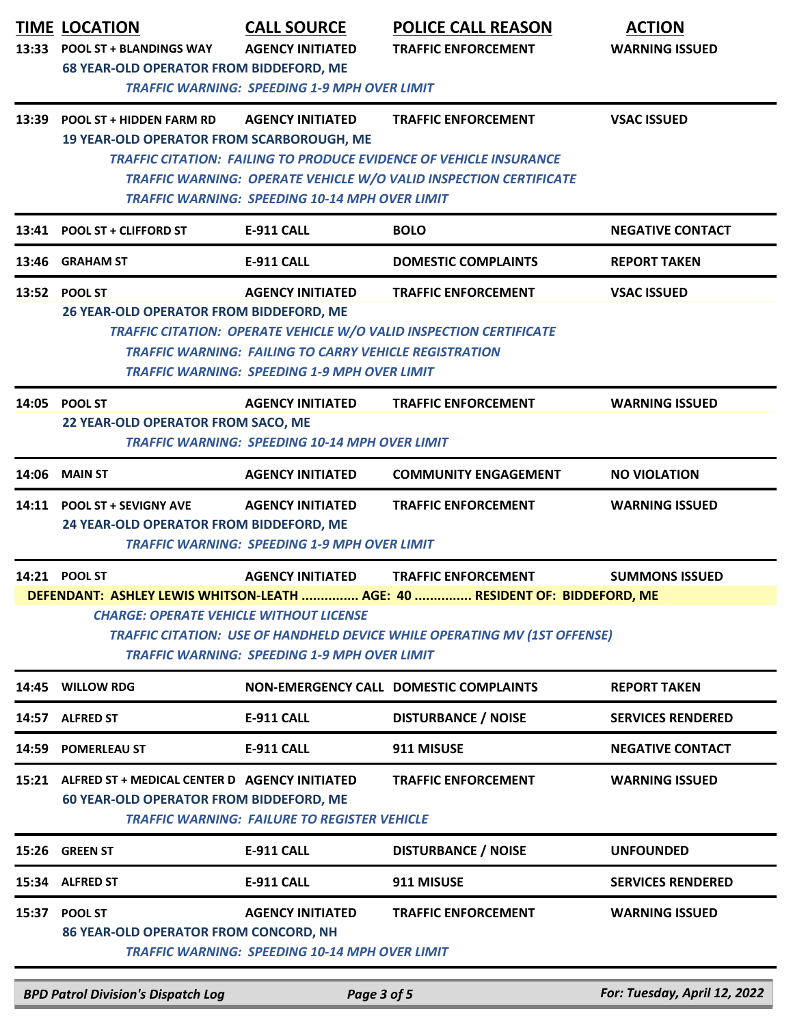|       | <b>TIME LOCATION</b>                                                                            | <b>CALL SOURCE</b>                                                               | <b>POLICE CALL REASON</b>                                                                                                                                                                    | <b>ACTION</b>                |
|-------|-------------------------------------------------------------------------------------------------|----------------------------------------------------------------------------------|----------------------------------------------------------------------------------------------------------------------------------------------------------------------------------------------|------------------------------|
|       | 13:33 POOL ST + BLANDINGS WAY<br><b>68 YEAR-OLD OPERATOR FROM BIDDEFORD, ME</b>                 | <b>AGENCY INITIATED</b>                                                          | <b>TRAFFIC ENFORCEMENT</b>                                                                                                                                                                   | <b>WARNING ISSUED</b>        |
|       |                                                                                                 | <b>TRAFFIC WARNING: SPEEDING 1-9 MPH OVER LIMIT</b>                              |                                                                                                                                                                                              |                              |
| 13:39 | <b>POOL ST + HIDDEN FARM RD</b><br><b>19 YEAR-OLD OPERATOR FROM SCARBOROUGH, ME</b>             | <b>AGENCY INITIATED</b>                                                          | <b>TRAFFIC ENFORCEMENT</b>                                                                                                                                                                   | <b>VSAC ISSUED</b>           |
|       |                                                                                                 |                                                                                  | TRAFFIC CITATION: FAILING TO PRODUCE EVIDENCE OF VEHICLE INSURANCE                                                                                                                           |                              |
|       |                                                                                                 |                                                                                  | TRAFFIC WARNING: OPERATE VEHICLE W/O VALID INSPECTION CERTIFICATE                                                                                                                            |                              |
|       |                                                                                                 | <b>TRAFFIC WARNING: SPEEDING 10-14 MPH OVER LIMIT</b>                            |                                                                                                                                                                                              |                              |
| 13:41 | <b>POOL ST + CLIFFORD ST</b>                                                                    | E-911 CALL                                                                       | <b>BOLO</b>                                                                                                                                                                                  | <b>NEGATIVE CONTACT</b>      |
|       | 13:46 GRAHAM ST                                                                                 | E-911 CALL                                                                       | <b>DOMESTIC COMPLAINTS</b>                                                                                                                                                                   | <b>REPORT TAKEN</b>          |
|       | 13:52 POOL ST<br>26 YEAR-OLD OPERATOR FROM BIDDEFORD, ME                                        | <b>AGENCY INITIATED</b>                                                          | <b>TRAFFIC ENFORCEMENT</b>                                                                                                                                                                   | <b>VSAC ISSUED</b>           |
|       |                                                                                                 |                                                                                  | TRAFFIC CITATION: OPERATE VEHICLE W/O VALID INSPECTION CERTIFICATE                                                                                                                           |                              |
|       |                                                                                                 | <b>TRAFFIC WARNING: FAILING TO CARRY VEHICLE REGISTRATION</b>                    |                                                                                                                                                                                              |                              |
|       |                                                                                                 | <b>TRAFFIC WARNING: SPEEDING 1-9 MPH OVER LIMIT</b>                              |                                                                                                                                                                                              |                              |
|       | 14:05 POOL ST                                                                                   | <b>AGENCY INITIATED</b>                                                          | <b>TRAFFIC ENFORCEMENT</b>                                                                                                                                                                   | <b>WARNING ISSUED</b>        |
|       | 22 YEAR-OLD OPERATOR FROM SACO, ME                                                              | <b>TRAFFIC WARNING: SPEEDING 10-14 MPH OVER LIMIT</b>                            |                                                                                                                                                                                              |                              |
| 14:06 | <b>MAIN ST</b>                                                                                  | <b>AGENCY INITIATED</b>                                                          | <b>COMMUNITY ENGAGEMENT</b>                                                                                                                                                                  | <b>NO VIOLATION</b>          |
|       | 14:11 POOL ST + SEVIGNY AVE<br>24 YEAR-OLD OPERATOR FROM BIDDEFORD, ME                          | <b>AGENCY INITIATED</b><br><b>TRAFFIC WARNING: SPEEDING 1-9 MPH OVER LIMIT</b>   | <b>TRAFFIC ENFORCEMENT</b>                                                                                                                                                                   | <b>WARNING ISSUED</b>        |
|       | 14:21 POOL ST<br><b>CHARGE: OPERATE VEHICLE WITHOUT LICENSE</b>                                 | <b>AGENCY INITIATED</b><br><b>TRAFFIC WARNING: SPEEDING 1-9 MPH OVER LIMIT</b>   | <b>TRAFFIC ENFORCEMENT</b><br>DEFENDANT: ASHLEY LEWIS WHITSON-LEATH  AGE: 40  RESIDENT OF: BIDDEFORD, ME<br><b>TRAFFIC CITATION: USE OF HANDHELD DEVICE WHILE OPERATING MV (1ST OFFENSE)</b> | <b>SUMMONS ISSUED</b>        |
| 14:45 | <b>WILLOW RDG</b>                                                                               |                                                                                  | NON-EMERGENCY CALL DOMESTIC COMPLAINTS                                                                                                                                                       | <b>REPORT TAKEN</b>          |
| 14:57 | <b>ALFRED ST</b>                                                                                | <b>E-911 CALL</b>                                                                | <b>DISTURBANCE / NOISE</b>                                                                                                                                                                   | <b>SERVICES RENDERED</b>     |
| 14:59 | <b>POMERLEAU ST</b>                                                                             | <b>E-911 CALL</b>                                                                | 911 MISUSE                                                                                                                                                                                   | <b>NEGATIVE CONTACT</b>      |
| 15:21 | ALFRED ST + MEDICAL CENTER D AGENCY INITIATED<br><b>60 YEAR-OLD OPERATOR FROM BIDDEFORD, ME</b> | <b>TRAFFIC WARNING: FAILURE TO REGISTER VEHICLE</b>                              | <b>TRAFFIC ENFORCEMENT</b>                                                                                                                                                                   | <b>WARNING ISSUED</b>        |
| 15:26 | <b>GREEN ST</b>                                                                                 | E-911 CALL                                                                       | <b>DISTURBANCE / NOISE</b>                                                                                                                                                                   | <b>UNFOUNDED</b>             |
| 15:34 | <b>ALFRED ST</b>                                                                                | <b>E-911 CALL</b>                                                                | 911 MISUSE                                                                                                                                                                                   | <b>SERVICES RENDERED</b>     |
|       |                                                                                                 |                                                                                  |                                                                                                                                                                                              |                              |
| 15:37 | <b>POOL ST</b><br>86 YEAR-OLD OPERATOR FROM CONCORD, NH                                         | <b>AGENCY INITIATED</b><br><b>TRAFFIC WARNING: SPEEDING 10-14 MPH OVER LIMIT</b> | <b>TRAFFIC ENFORCEMENT</b>                                                                                                                                                                   | <b>WARNING ISSUED</b>        |
|       | <b>BPD Patrol Division's Dispatch Log</b>                                                       | Page 3 of 5                                                                      |                                                                                                                                                                                              | For: Tuesday, April 12, 2022 |
|       |                                                                                                 |                                                                                  |                                                                                                                                                                                              |                              |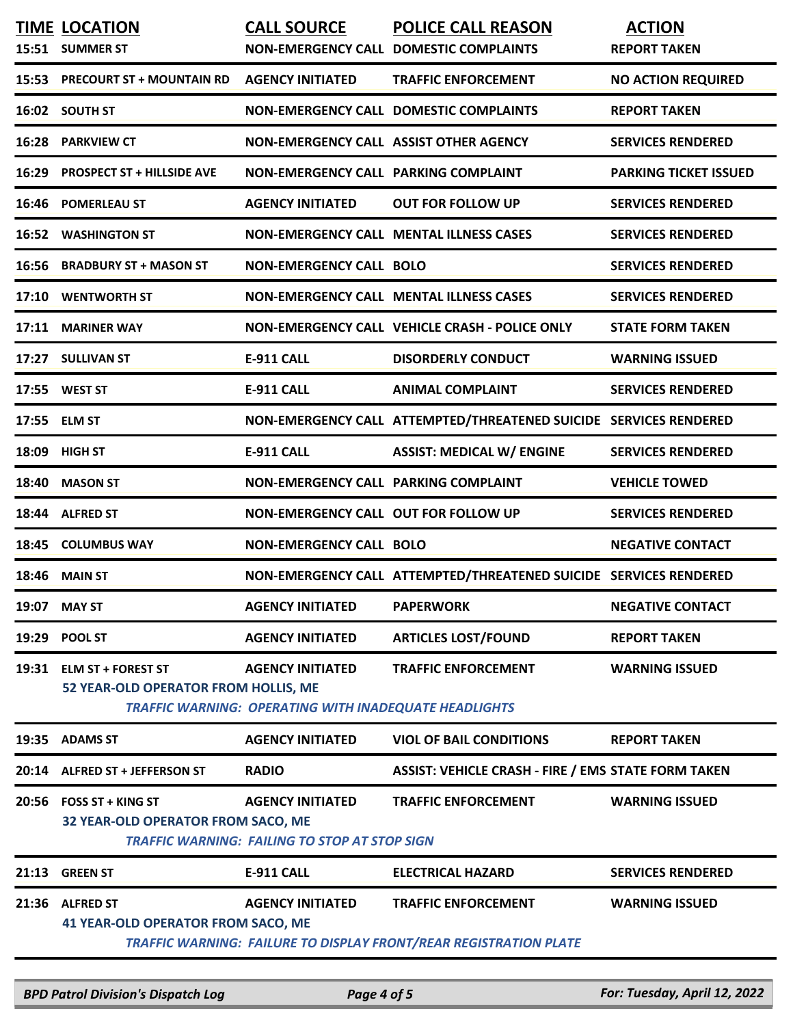|       | <b>TIME LOCATION</b><br>15:51 SUMMER ST                       | <b>CALL SOURCE</b>                                                              | <b>POLICE CALL REASON</b><br>NON-EMERGENCY CALL DOMESTIC COMPLAINTS                             | <b>ACTION</b><br><b>REPORT TAKEN</b> |
|-------|---------------------------------------------------------------|---------------------------------------------------------------------------------|-------------------------------------------------------------------------------------------------|--------------------------------------|
| 15:53 | <b>PRECOURT ST + MOUNTAIN RD</b>                              | <b>AGENCY INITIATED</b>                                                         | <b>TRAFFIC ENFORCEMENT</b>                                                                      | <b>NO ACTION REQUIRED</b>            |
|       | 16:02 SOUTH ST                                                |                                                                                 | <b>NON-EMERGENCY CALL DOMESTIC COMPLAINTS</b>                                                   | <b>REPORT TAKEN</b>                  |
| 16:28 | <b>PARKVIEW CT</b>                                            | NON-EMERGENCY CALL ASSIST OTHER AGENCY                                          |                                                                                                 | <b>SERVICES RENDERED</b>             |
| 16:29 | <b>PROSPECT ST + HILLSIDE AVE</b>                             | NON-EMERGENCY CALL PARKING COMPLAINT                                            |                                                                                                 | <b>PARKING TICKET ISSUED</b>         |
| 16:46 | <b>POMERLEAU ST</b>                                           | <b>AGENCY INITIATED</b>                                                         | <b>OUT FOR FOLLOW UP</b>                                                                        | <b>SERVICES RENDERED</b>             |
| 16:52 | <b>WASHINGTON ST</b>                                          |                                                                                 | NON-EMERGENCY CALL MENTAL ILLNESS CASES                                                         | <b>SERVICES RENDERED</b>             |
| 16:56 | <b>BRADBURY ST + MASON ST</b>                                 | <b>NON-EMERGENCY CALL BOLO</b>                                                  |                                                                                                 | <b>SERVICES RENDERED</b>             |
| 17:10 | <b>WENTWORTH ST</b>                                           |                                                                                 | NON-EMERGENCY CALL MENTAL ILLNESS CASES                                                         | <b>SERVICES RENDERED</b>             |
| 17:11 | <b>MARINER WAY</b>                                            |                                                                                 | NON-EMERGENCY CALL VEHICLE CRASH - POLICE ONLY                                                  | <b>STATE FORM TAKEN</b>              |
|       | 17:27 SULLIVAN ST                                             | <b>E-911 CALL</b>                                                               | <b>DISORDERLY CONDUCT</b>                                                                       | <b>WARNING ISSUED</b>                |
|       | 17:55 WEST ST                                                 | <b>E-911 CALL</b>                                                               | <b>ANIMAL COMPLAINT</b>                                                                         | <b>SERVICES RENDERED</b>             |
| 17:55 | <b>ELM ST</b>                                                 |                                                                                 | NON-EMERGENCY CALL ATTEMPTED/THREATENED SUICIDE SERVICES RENDERED                               |                                      |
| 18:09 | <b>HIGH ST</b>                                                | <b>E-911 CALL</b>                                                               | <b>ASSIST: MEDICAL W/ ENGINE</b>                                                                | <b>SERVICES RENDERED</b>             |
| 18:40 | <b>MASON ST</b>                                               | NON-EMERGENCY CALL PARKING COMPLAINT                                            |                                                                                                 | <b>VEHICLE TOWED</b>                 |
| 18:44 | <b>ALFRED ST</b>                                              | NON-EMERGENCY CALL OUT FOR FOLLOW UP                                            |                                                                                                 | <b>SERVICES RENDERED</b>             |
| 18:45 | <b>COLUMBUS WAY</b>                                           | <b>NON-EMERGENCY CALL BOLO</b>                                                  |                                                                                                 | <b>NEGATIVE CONTACT</b>              |
| 18:46 | <b>MAIN ST</b>                                                |                                                                                 | NON-EMERGENCY CALL ATTEMPTED/THREATENED SUICIDE SERVICES RENDERED                               |                                      |
| 19:07 | <b>MAY ST</b>                                                 | <b>AGENCY INITIATED</b>                                                         | <b>PAPERWORK</b>                                                                                | <b>NEGATIVE CONTACT</b>              |
|       | 19:29 POOL ST                                                 | <b>AGENCY INITIATED</b>                                                         | <b>ARTICLES LOST/FOUND</b>                                                                      | <b>REPORT TAKEN</b>                  |
| 19:31 | <b>ELM ST + FOREST ST</b>                                     | <b>AGENCY INITIATED</b>                                                         | <b>TRAFFIC ENFORCEMENT</b>                                                                      | <b>WARNING ISSUED</b>                |
|       | 52 YEAR-OLD OPERATOR FROM HOLLIS, ME                          | <b>TRAFFIC WARNING: OPERATING WITH INADEQUATE HEADLIGHTS</b>                    |                                                                                                 |                                      |
| 19:35 | <b>ADAMS ST</b>                                               | <b>AGENCY INITIATED</b>                                                         | <b>VIOL OF BAIL CONDITIONS</b>                                                                  | <b>REPORT TAKEN</b>                  |
| 20:14 | <b>ALFRED ST + JEFFERSON ST</b>                               | <b>RADIO</b>                                                                    | <b>ASSIST: VEHICLE CRASH - FIRE / EMS STATE FORM TAKEN</b>                                      |                                      |
|       | 20:56 FOSS ST + KING ST<br>32 YEAR-OLD OPERATOR FROM SACO, ME | <b>AGENCY INITIATED</b><br><b>TRAFFIC WARNING: FAILING TO STOP AT STOP SIGN</b> | <b>TRAFFIC ENFORCEMENT</b>                                                                      | <b>WARNING ISSUED</b>                |
| 21:13 | <b>GREEN ST</b>                                               | <b>E-911 CALL</b>                                                               | <b>ELECTRICAL HAZARD</b>                                                                        | <b>SERVICES RENDERED</b>             |
| 21:36 | <b>ALFRED ST</b><br><b>41 YEAR-OLD OPERATOR FROM SACO, ME</b> | <b>AGENCY INITIATED</b>                                                         | <b>TRAFFIC ENFORCEMENT</b><br>TRAFFIC WARNING: FAILURE TO DISPLAY FRONT/REAR REGISTRATION PLATE | <b>WARNING ISSUED</b>                |